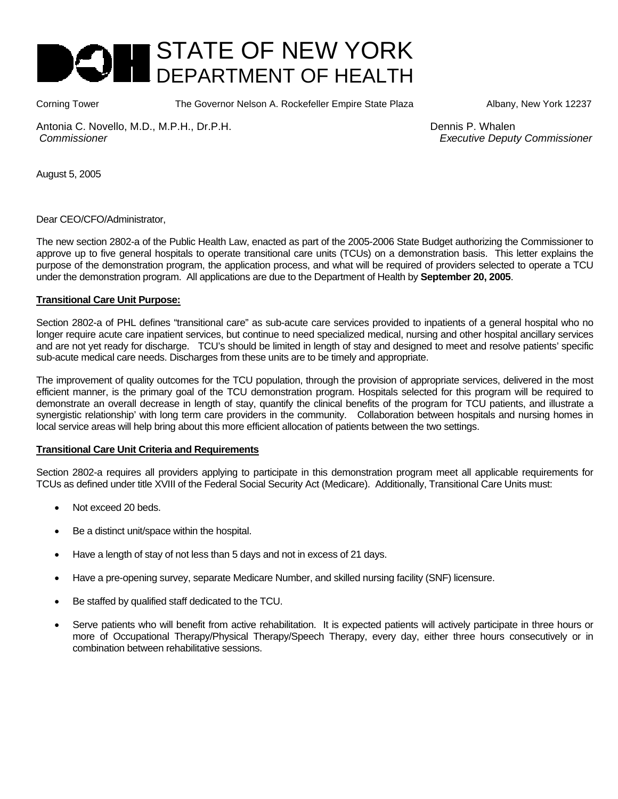

Corning Tower The Governor Nelson A. Rockefeller Empire State Plaza Albany, New York 12237

Antonia C. Novello, M.D., M.P.H., Dr.P.H. Dennis P. Whalen  *Commissioner Executive Deputy Commissioner*

August 5, 2005

Dear CEO/CFO/Administrator,

The new section 2802-a of the Public Health Law, enacted as part of the 2005-2006 State Budget authorizing the Commissioner to approve up to five general hospitals to operate transitional care units (TCUs) on a demonstration basis. This letter explains the purpose of the demonstration program, the application process, and what will be required of providers selected to operate a TCU under the demonstration program. All applications are due to the Department of Health by **September 20, 2005**.

#### **Transitional Care Unit Purpose:**

Section 2802-a of PHL defines "transitional care" as sub-acute care services provided to inpatients of a general hospital who no longer require acute care inpatient services, but continue to need specialized medical, nursing and other hospital ancillary services and are not yet ready for discharge. TCU's should be limited in length of stay and designed to meet and resolve patients' specific sub-acute medical care needs. Discharges from these units are to be timely and appropriate.

The improvement of quality outcomes for the TCU population, through the provision of appropriate services, delivered in the most efficient manner, is the primary goal of the TCU demonstration program. Hospitals selected for this program will be required to demonstrate an overall decrease in length of stay, quantify the clinical benefits of the program for TCU patients, and illustrate a synergistic relationship' with long term care providers in the community. Collaboration between hospitals and nursing homes in local service areas will help bring about this more efficient allocation of patients between the two settings.

#### **Transitional Care Unit Criteria and Requirements**

Section 2802-a requires all providers applying to participate in this demonstration program meet all applicable requirements for TCUs as defined under title XVIII of the Federal Social Security Act (Medicare). Additionally, Transitional Care Units must:

- Not exceed 20 beds.
- Be a distinct unit/space within the hospital.
- Have a length of stay of not less than 5 days and not in excess of 21 days.
- Have a pre-opening survey, separate Medicare Number, and skilled nursing facility (SNF) licensure.
- Be staffed by qualified staff dedicated to the TCU.
- Serve patients who will benefit from active rehabilitation. It is expected patients will actively participate in three hours or more of Occupational Therapy/Physical Therapy/Speech Therapy, every day, either three hours consecutively or in combination between rehabilitative sessions.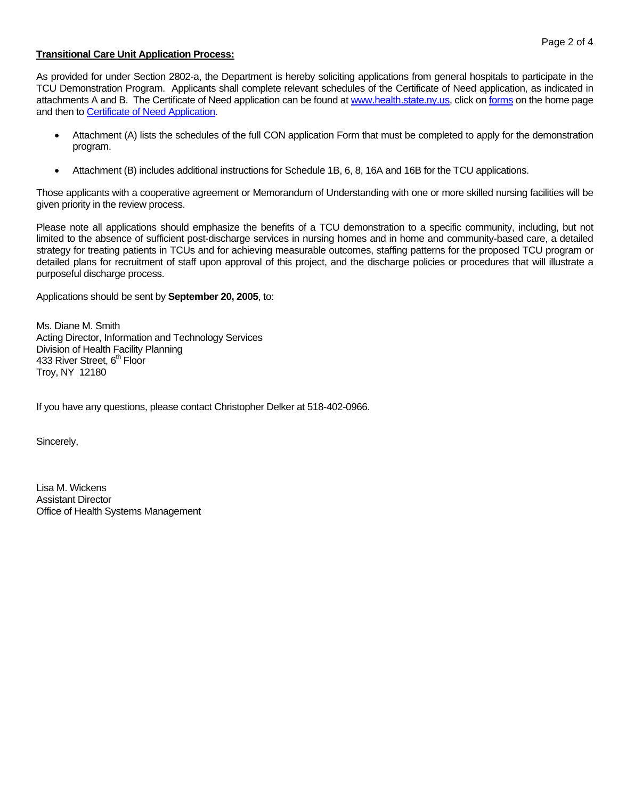## **Transitional Care Unit Application Process:**

As provided for under Section 2802-a, the Department is hereby soliciting applications from general hospitals to participate in the TCU Demonstration Program. Applicants shall complete relevant schedules of the Certificate of Need application, as indicated in attachments A and B. The Certificate of Need application can be found at www.health.state.ny.us, click on forms on the home page and then to Certificate of Need Application.

- Attachment (A) lists the schedules of the full CON application Form that must be completed to apply for the demonstration program.
- Attachment (B) includes additional instructions for Schedule 1B, 6, 8, 16A and 16B for the TCU applications.

Those applicants with a cooperative agreement or Memorandum of Understanding with one or more skilled nursing facilities will be given priority in the review process.

Please note all applications should emphasize the benefits of a TCU demonstration to a specific community, including, but not limited to the absence of sufficient post-discharge services in nursing homes and in home and community-based care, a detailed strategy for treating patients in TCUs and for achieving measurable outcomes, staffing patterns for the proposed TCU program or detailed plans for recruitment of staff upon approval of this project, and the discharge policies or procedures that will illustrate a purposeful discharge process.

Applications should be sent by **September 20, 2005**, to:

Ms. Diane M. Smith Acting Director, Information and Technology Services Division of Health Facility Planning 433 River Street, 6<sup>th</sup> Floor Troy, NY 12180

If you have any questions, please contact Christopher Delker at 518-402-0966.

Sincerely,

Lisa M. Wickens Assistant Director Office of Health Systems Management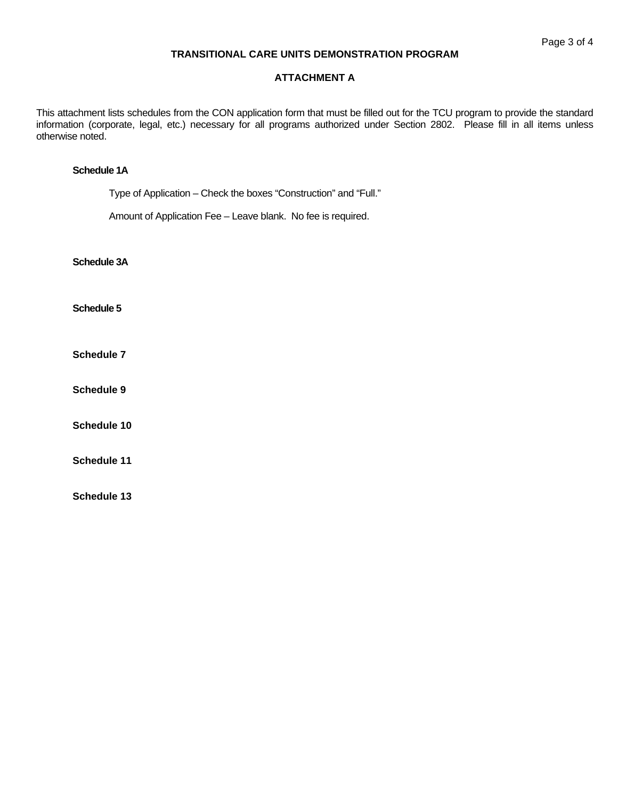### **TRANSITIONAL CARE UNITS DEMONSTRATION PROGRAM**

# **ATTACHMENT A**

This attachment lists schedules from the CON application form that must be filled out for the TCU program to provide the standard information (corporate, legal, etc.) necessary for all programs authorized under Section 2802. Please fill in all items unless otherwise noted.

### **Schedule 1A**

Type of Application – Check the boxes "Construction" and "Full."

Amount of Application Fee – Leave blank. No fee is required.

**Schedule 3A** 

**Schedule 5** 

**Schedule 7** 

**Schedule 9** 

**Schedule 10** 

**Schedule 11** 

**Schedule 13**